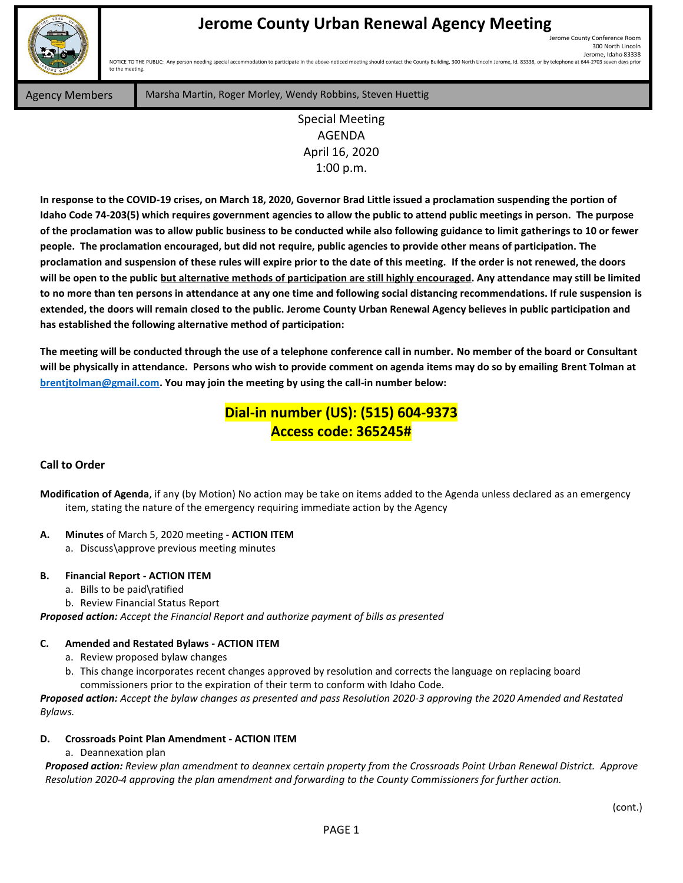

# **Jerome County Urban Renewal Agency Meeting**

Jerome County Conference Room 300 North Lincoln Jerome, Idaho 83338<br>644-2703 seven days prior NOTICE TO THE PUBLIC: Any person needing special accommodation to participate in the above-noticed meeting should contact the County Building, 300 North Lincoln Jerome, Id. 83338, or by telephone at

to the meeting

Agency Members **Marsha Martin, Roger Morley, Wendy Robbins, Steven Huettig** 

Special Meeting AGENDA April 16, 2020 1:00 p.m.

**In response to the COVID-19 crises, on March 18, 2020, Governor Brad Little issued a proclamation suspending the portion of Idaho Code 74-203(5) which requires government agencies to allow the public to attend public meetings in person. The purpose of the proclamation was to allow public business to be conducted while also following guidance to limit gatherings to 10 or fewer people. The proclamation encouraged, but did not require, public agencies to provide other means of participation. The proclamation and suspension of these rules will expire prior to the date of this meeting. If the order is not renewed, the doors will be open to the public but alternative methods of participation are still highly encouraged. Any attendance may still be limited to no more than ten persons in attendance at any one time and following social distancing recommendations. If rule suspension is extended, the doors will remain closed to the public. Jerome County Urban Renewal Agency believes in public participation and has established the following alternative method of participation:** 

**The meeting will be conducted through the use of a telephone conference call in number. No member of the board or Consultant will be physically in attendance. Persons who wish to provide comment on agenda items may do so by emailing Brent Tolman at [brentjtolman@gmail.com.](mailto:brentjtolman@gmail.com) You may join the meeting by using the call-in number below:**

# **Dial-in number (US): (515) 604-9373 Access code: 365245#**

#### **Call to Order**

**Modification of Agenda**, if any (by Motion) No action may be take on items added to the Agenda unless declared as an emergency item, stating the nature of the emergency requiring immediate action by the Agency

## **A. Minutes** of March 5, 2020 meeting - **ACTION ITEM**

a. Discuss\approve previous meeting minutes

#### **B. Financial Report - ACTION ITEM**

- a. Bills to be paid\ratified
- b. Review Financial Status Report

*Proposed action: Accept the Financial Report and authorize payment of bills as presented*

## **C. Amended and Restated Bylaws - ACTION ITEM**

- a. Review proposed bylaw changes
- b. This change incorporates recent changes approved by resolution and corrects the language on replacing board commissioners prior to the expiration of their term to conform with Idaho Code.

*Proposed action: Accept the bylaw changes as presented and pass Resolution 2020-3 approving the 2020 Amended and Restated Bylaws.*

## **D. Crossroads Point Plan Amendment - ACTION ITEM**

#### a. Deannexation plan

*Proposed action: Review plan amendment to deannex certain property from the Crossroads Point Urban Renewal District. Approve Resolution 2020-4 approving the plan amendment and forwarding to the County Commissioners for further action.*